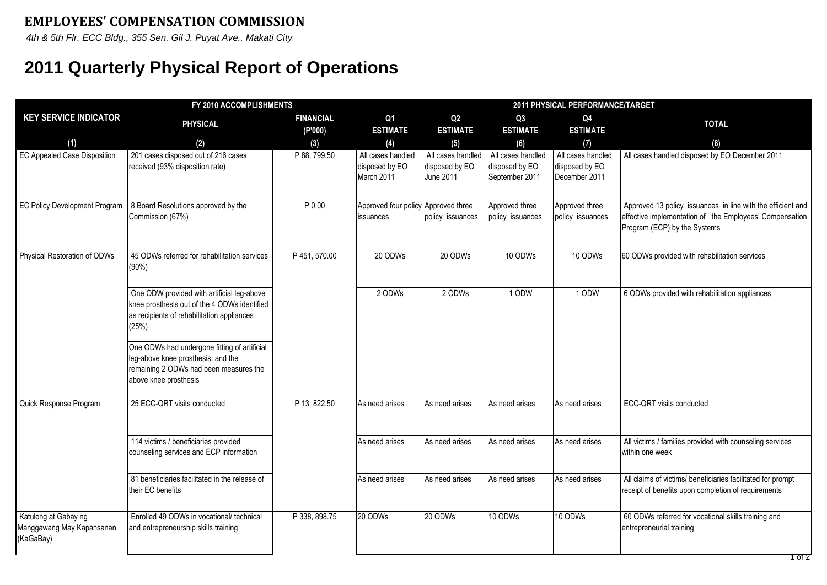*4th & 5th Flr. ECC Bldg., 355 Sen. Gil J. Puyat Ave., Makati City*

## **2011 Quarterly Physical Report of Operations**

| FY 2010 ACCOMPLISHMENTS                                        |                                                                                                                                                                                                   |                  |                                                   | 2011 PHYSICAL PERFORMANCE/TARGET                 |                                                       |                                                      |                                                                                                                                                        |  |
|----------------------------------------------------------------|---------------------------------------------------------------------------------------------------------------------------------------------------------------------------------------------------|------------------|---------------------------------------------------|--------------------------------------------------|-------------------------------------------------------|------------------------------------------------------|--------------------------------------------------------------------------------------------------------------------------------------------------------|--|
| <b>KEY SERVICE INDICATOR</b>                                   | <b>PHYSICAL</b>                                                                                                                                                                                   | <b>FINANCIAL</b> | Q <sub>1</sub>                                    | Q2                                               | Q3                                                    | Q4                                                   | <b>TOTAL</b>                                                                                                                                           |  |
|                                                                |                                                                                                                                                                                                   | (P'000)          | <b>ESTIMATE</b>                                   | <b>ESTIMATE</b>                                  | <b>ESTIMATE</b>                                       | <b>ESTIMATE</b>                                      |                                                                                                                                                        |  |
| (1)                                                            | (2)                                                                                                                                                                                               | (3)              | (4)                                               | (5)                                              | (6)                                                   | (7)                                                  | (8)                                                                                                                                                    |  |
| <b>EC Appealed Case Disposition</b>                            | 201 cases disposed out of 216 cases<br>received (93% disposition rate)                                                                                                                            | P 88, 799.50     | All cases handled<br>disposed by EO<br>March 2011 | All cases handled<br>disposed by EO<br>June 2011 | All cases handled<br>disposed by EO<br>September 2011 | All cases handled<br>disposed by EO<br>December 2011 | All cases handled disposed by EO December 2011                                                                                                         |  |
| <b>EC Policy Development Program</b>                           | 8 Board Resolutions approved by the<br>Commission (67%)                                                                                                                                           | P 0.00           | Approved four policy<br>issuances                 | Approved three<br>policy issuances               | Approved three<br>policy issuances                    | Approved three<br>policy issuances                   | Approved 13 policy issuances in line with the efficient and<br>effective implementation of the Employees' Compensation<br>Program (ECP) by the Systems |  |
| Physical Restoration of ODWs                                   | 45 ODWs referred for rehabilitation services<br>$(90\%)$                                                                                                                                          | P 451, 570.00    | 20 ODWs                                           | 20 ODWs                                          | 10 ODWs                                               | 10 ODWs                                              | 60 ODWs provided with rehabilitation services                                                                                                          |  |
|                                                                | One ODW provided with artificial leg-above<br>knee prosthesis out of the 4 ODWs identified<br>as recipients of rehabilitation appliances<br>(25%)<br>One ODWs had undergone fitting of artificial |                  | 2 ODWs                                            | 2 ODWs                                           | 1 ODW                                                 | 1 ODW                                                | 6 ODWs provided with rehabilitation appliances                                                                                                         |  |
|                                                                | leg-above knee prosthesis; and the<br>remaining 2 ODWs had been measures the<br>above knee prosthesis                                                                                             |                  |                                                   |                                                  |                                                       |                                                      |                                                                                                                                                        |  |
| Quick Response Program                                         | 25 ECC-QRT visits conducted                                                                                                                                                                       | P 13, 822.50     | As need arises                                    | As need arises                                   | As need arises                                        | As need arises                                       | ECC-QRT visits conducted                                                                                                                               |  |
|                                                                | 114 victims / beneficiaries provided<br>counseling services and ECP information                                                                                                                   |                  | As need arises                                    | As need arises                                   | As need arises                                        | As need arises                                       | All victims / families provided with counseling services<br>within one week                                                                            |  |
|                                                                | 81 beneficiaries facilitated in the release of<br>their EC benefits                                                                                                                               |                  | As need arises                                    | As need arises                                   | As need arises                                        | As need arises                                       | All claims of victims/ beneficiaries facilitated for prompt<br>receipt of benefits upon completion of requirements                                     |  |
| Katulong at Gabay ng<br>Manggawang May Kapansanan<br>(KaGaBay) | Enrolled 49 ODWs in vocational/ technical<br>and entrepreneurship skills training                                                                                                                 | P 338, 898.75    | 20 ODWs                                           | 20 ODWs                                          | 10 ODWs                                               | 10 ODWs                                              | 60 ODWs referred for vocational skills training and<br>entrepreneurial training                                                                        |  |